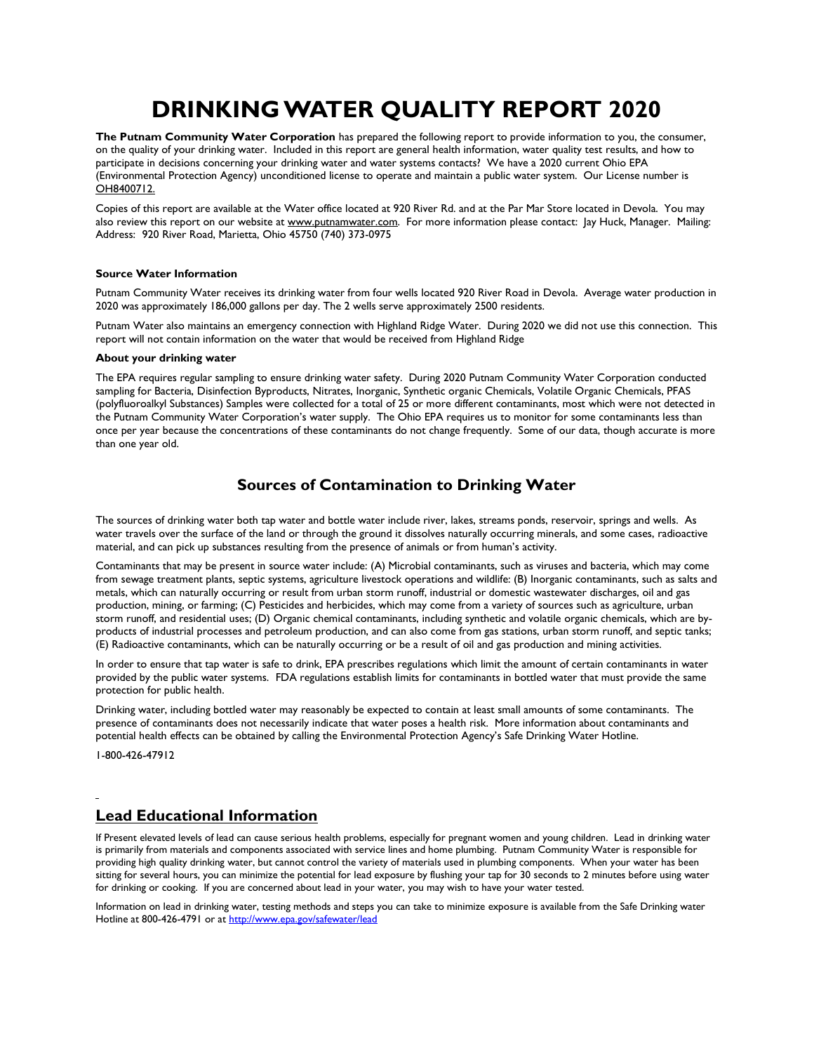# DRINKING WATER QUALITY REPORT 2020

The Putnam Community Water Corporation has prepared the following report to provide information to you, the consumer, on the quality of your drinking water. Included in this report are general health information, water quality test results, and how to participate in decisions concerning your drinking water and water systems contacts? We have a 2020 current Ohio EPA (Environmental Protection Agency) unconditioned license to operate and maintain a public water system. Our License number is OH8400712.

Copies of this report are available at the Water office located at 920 River Rd. and at the Par Mar Store located in Devola. You may also review this report on our website at www.putnamwater.com. For more information please contact: Jay Huck, Manager. Mailing: Address: 920 River Road, Marietta, Ohio 45750 (740) 373-0975

#### Source Water Information

Putnam Community Water receives its drinking water from four wells located 920 River Road in Devola. Average water production in 2020 was approximately 186,000 gallons per day. The 2 wells serve approximately 2500 residents.

Putnam Water also maintains an emergency connection with Highland Ridge Water. During 2020 we did not use this connection. This report will not contain information on the water that would be received from Highland Ridge

#### About your drinking water

The EPA requires regular sampling to ensure drinking water safety. During 2020 Putnam Community Water Corporation conducted sampling for Bacteria, Disinfection Byproducts, Nitrates, Inorganic, Synthetic organic Chemicals, Volatile Organic Chemicals, PFAS (polyfluoroalkyl Substances) Samples were collected for a total of 25 or more different contaminants, most which were not detected in the Putnam Community Water Corporation's water supply. The Ohio EPA requires us to monitor for some contaminants less than once per year because the concentrations of these contaminants do not change frequently. Some of our data, though accurate is more than one year old.

## Sources of Contamination to Drinking Water

The sources of drinking water both tap water and bottle water include river, lakes, streams ponds, reservoir, springs and wells. As water travels over the surface of the land or through the ground it dissolves naturally occurring minerals, and some cases, radioactive material, and can pick up substances resulting from the presence of animals or from human's activity.

Contaminants that may be present in source water include: (A) Microbial contaminants, such as viruses and bacteria, which may come from sewage treatment plants, septic systems, agriculture livestock operations and wildlife: (B) Inorganic contaminants, such as salts and metals, which can naturally occurring or result from urban storm runoff, industrial or domestic wastewater discharges, oil and gas production, mining, or farming; (C) Pesticides and herbicides, which may come from a variety of sources such as agriculture, urban storm runoff, and residential uses; (D) Organic chemical contaminants, including synthetic and volatile organic chemicals, which are byproducts of industrial processes and petroleum production, and can also come from gas stations, urban storm runoff, and septic tanks; (E) Radioactive contaminants, which can be naturally occurring or be a result of oil and gas production and mining activities.

In order to ensure that tap water is safe to drink, EPA prescribes regulations which limit the amount of certain contaminants in water provided by the public water systems. FDA regulations establish limits for contaminants in bottled water that must provide the same protection for public health.

Drinking water, including bottled water may reasonably be expected to contain at least small amounts of some contaminants. The presence of contaminants does not necessarily indicate that water poses a health risk. More information about contaminants and potential health effects can be obtained by calling the Environmental Protection Agency's Safe Drinking Water Hotline.

1-800-426-47912

 $\overline{a}$ 

### Lead Educational Information

If Present elevated levels of lead can cause serious health problems, especially for pregnant women and young children. Lead in drinking water is primarily from materials and components associated with service lines and home plumbing. Putnam Community Water is responsible for providing high quality drinking water, but cannot control the variety of materials used in plumbing components. When your water has been sitting for several hours, you can minimize the potential for lead exposure by flushing your tap for 30 seconds to 2 minutes before using water for drinking or cooking. If you are concerned about lead in your water, you may wish to have your water tested.

Information on lead in drinking water, testing methods and steps you can take to minimize exposure is available from the Safe Drinking water Hotline at 800-426-4791 or at http://www.epa.gov/safewater/lead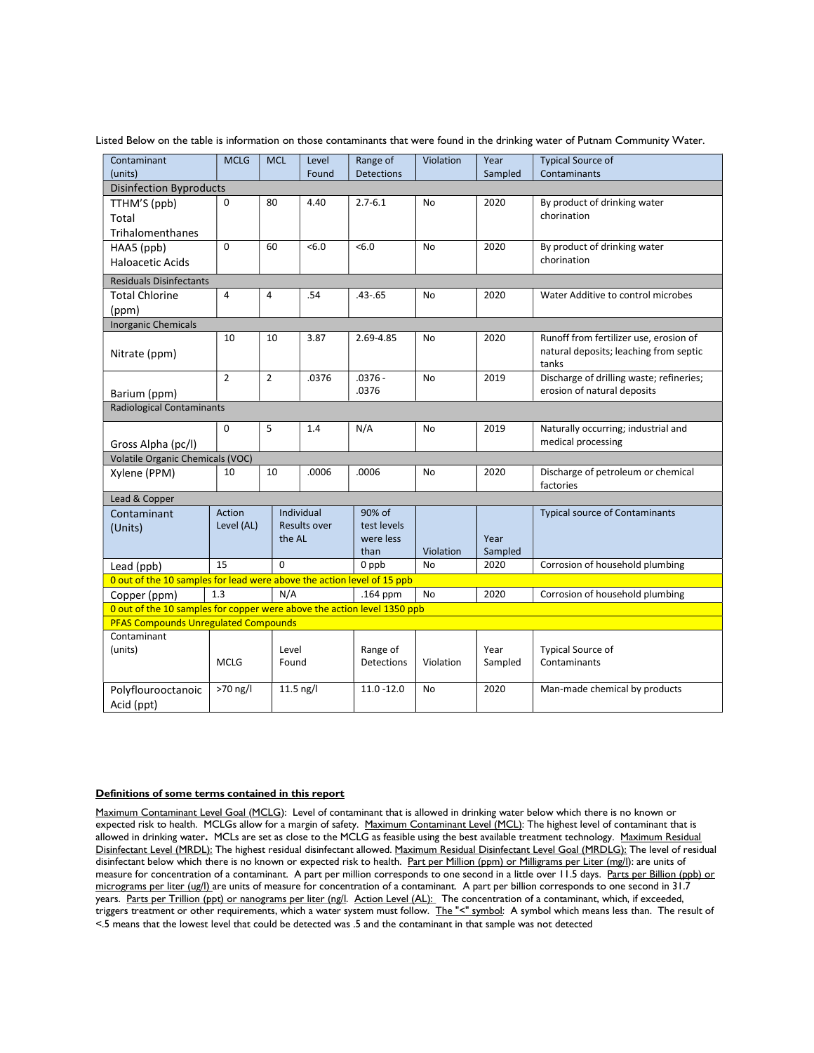| Contaminant                                                                                                            | <b>MCLG</b>    | <b>MCL</b>     | Level               | Range of          | Violation              | Year            | <b>Typical Source of</b>                        |
|------------------------------------------------------------------------------------------------------------------------|----------------|----------------|---------------------|-------------------|------------------------|-----------------|-------------------------------------------------|
| (units)                                                                                                                |                |                | Found               | <b>Detections</b> |                        | Sampled         | Contaminants                                    |
| <b>Disinfection Byproducts</b>                                                                                         |                |                |                     |                   |                        |                 |                                                 |
| TTHM'S (ppb)                                                                                                           | 0              | 80             | 4.40                | $2.7 - 6.1$       | No                     | 2020            | By product of drinking water                    |
| Total                                                                                                                  |                |                |                     |                   |                        |                 | chorination                                     |
| Trihalomenthanes                                                                                                       |                |                |                     |                   |                        |                 |                                                 |
| HAA5 (ppb)                                                                                                             | 0              | 60             | <6.0                | <6.0              | No                     | 2020            | By product of drinking water                    |
| <b>Haloacetic Acids</b>                                                                                                |                |                |                     |                   |                        |                 | chorination                                     |
| <b>Residuals Disinfectants</b>                                                                                         |                |                |                     |                   |                        |                 |                                                 |
| <b>Total Chlorine</b>                                                                                                  | $\overline{4}$ | $\overline{4}$ | .54                 | $.43 - .65$       | No                     | 2020            | Water Additive to control microbes              |
| (ppm)                                                                                                                  |                |                |                     |                   |                        |                 |                                                 |
| <b>Inorganic Chemicals</b>                                                                                             |                |                |                     |                   |                        |                 |                                                 |
|                                                                                                                        | 10             | 10             | 3.87                | 2.69-4.85         | No                     | 2020            | Runoff from fertilizer use, erosion of          |
| Nitrate (ppm)                                                                                                          |                |                |                     |                   |                        |                 | natural deposits; leaching from septic<br>tanks |
|                                                                                                                        | $\overline{2}$ | $\overline{2}$ | .0376               | $.0376 -$         | No                     | 2019            | Discharge of drilling waste; refineries;        |
| Barium (ppm)                                                                                                           |                |                |                     | .0376             |                        |                 | erosion of natural deposits                     |
| Radiological Contaminants                                                                                              |                |                |                     |                   |                        |                 |                                                 |
|                                                                                                                        | 0              | 5              | 1.4                 | N/A               | No                     | 2019            | Naturally occurring; industrial and             |
| Gross Alpha (pc/l)                                                                                                     |                |                |                     |                   |                        |                 | medical processing                              |
| Volatile Organic Chemicals (VOC)                                                                                       |                |                |                     |                   |                        |                 |                                                 |
| Xylene (PPM)                                                                                                           | 10             | 10             | .0006               | .0006             | No                     | 2020            | Discharge of petroleum or chemical<br>factories |
| Lead & Copper                                                                                                          |                |                |                     |                   |                        |                 |                                                 |
| Contaminant                                                                                                            | Action         |                | Individual          | 90% of            |                        |                 | <b>Typical source of Contaminants</b>           |
| (Units)                                                                                                                | Level (AL)     |                | <b>Results over</b> | test levels       |                        |                 |                                                 |
|                                                                                                                        |                | the AL         |                     | were less         |                        | Year            |                                                 |
|                                                                                                                        | 15             | $\Omega$       |                     | than              | Violation<br><b>No</b> | Sampled<br>2020 | Corrosion of household plumbing                 |
| 0 ppb<br>Lead (ppb)<br>O out of the 10 samples for lead were above the action level of 15 ppb                          |                |                |                     |                   |                        |                 |                                                 |
|                                                                                                                        | 1.3            | N/A            |                     | .164 ppm          | No                     | 2020            | Corrosion of household plumbing                 |
| Copper (ppm)                                                                                                           |                |                |                     |                   |                        |                 |                                                 |
| 0 out of the 10 samples for copper were above the action level 1350 ppb<br><b>PFAS Compounds Unregulated Compounds</b> |                |                |                     |                   |                        |                 |                                                 |
| Contaminant                                                                                                            |                |                |                     |                   |                        |                 |                                                 |
| (units)                                                                                                                |                | Level          |                     | Range of          |                        | Year            | <b>Typical Source of</b>                        |
|                                                                                                                        | <b>MCLG</b>    | Found          |                     | Detections        | Violation              | Sampled         | Contaminants                                    |
|                                                                                                                        |                |                |                     |                   |                        |                 |                                                 |
| Polyflourooctanoic                                                                                                     | >70 ng/l       |                | $11.5$ ng/l         | $11.0 - 12.0$     | No                     | 2020            | Man-made chemical by products                   |
| Acid (ppt)                                                                                                             |                |                |                     |                   |                        |                 |                                                 |

Listed Below on the table is information on those contaminants that were found in the drinking water of Putnam Community Water.

#### Definitions of some terms contained in this report

Maximum Contaminant Level Goal (MCLG): Level of contaminant that is allowed in drinking water below which there is no known or expected risk to health. MCLGs allow for a margin of safety. Maximum Contaminant Level (MCL): The highest level of contaminant that is allowed in drinking water. MCLs are set as close to the MCLG as feasible using the best available treatment technology. Maximum Residual Disinfectant Level (MRDL): The highest residual disinfectant allowed. Maximum Residual Disinfectant Level Goal (MRDLG): The level of residual disinfectant below which there is no known or expected risk to health. Part per Million (ppm) or Milligrams per Liter (mg/l): are units of measure for concentration of a contaminant. A part per million corresponds to one second in a little over 11.5 days. Parts per Billion (ppb) or micrograms per liter (ug/l) are units of measure for concentration of a contaminant. A part per billion corresponds to one second in 31.7 years. Parts per Trillion (ppt) or nanograms per liter (ng/l. Action Level (AL): The concentration of a contaminant, which, if exceeded, triggers treatment or other requirements, which a water system must follow. The "<" symbol: A symbol which means less than. The result of <.5 means that the lowest level that could be detected was .5 and the contaminant in that sample was not detected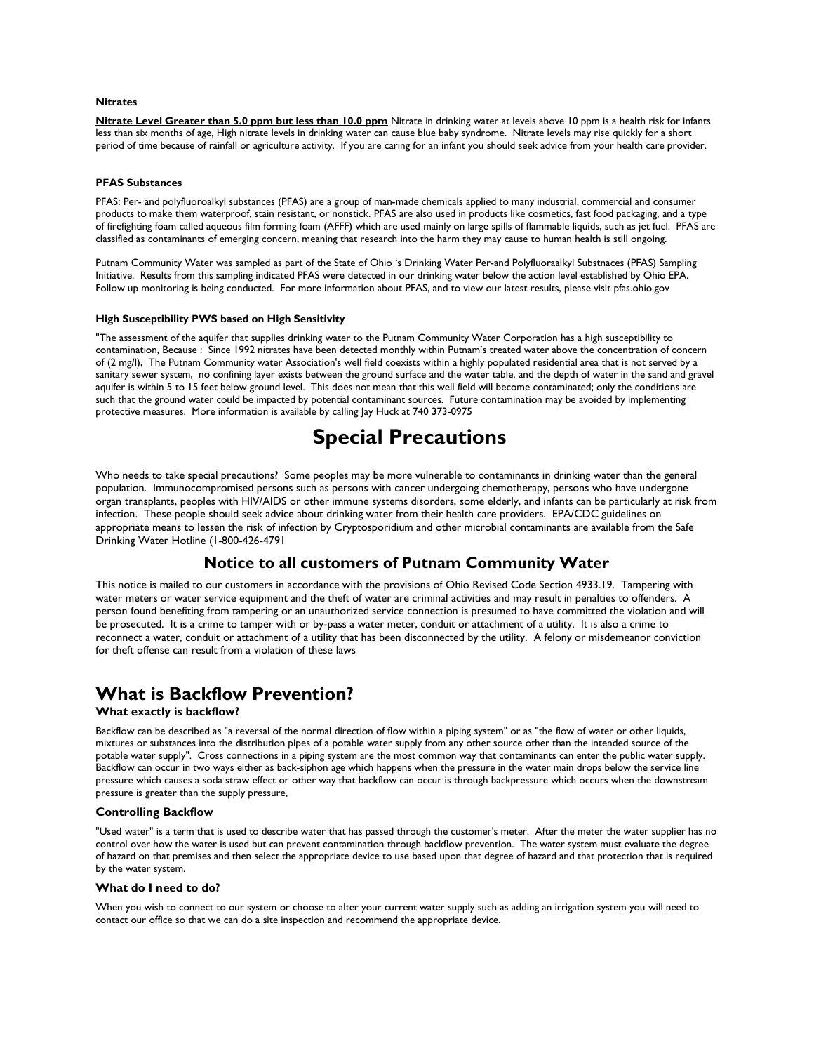#### **Nitrates**

Nitrate Level Greater than 5.0 ppm but less than 10.0 ppm Nitrate in drinking water at levels above 10 ppm is a health risk for infants less than six months of age, High nitrate levels in drinking water can cause blue baby syndrome. Nitrate levels may rise quickly for a short period of time because of rainfall or agriculture activity. If you are caring for an infant you should seek advice from your health care provider.

#### PFAS Substances

PFAS: Per- and polyfluoroalkyl substances (PFAS) are a group of man-made chemicals applied to many industrial, commercial and consumer products to make them waterproof, stain resistant, or nonstick. PFAS are also used in products like cosmetics, fast food packaging, and a type of firefighting foam called aqueous film forming foam (AFFF) which are used mainly on large spills of flammable liquids, such as jet fuel. PFAS are classified as contaminants of emerging concern, meaning that research into the harm they may cause to human health is still ongoing.

Putnam Community Water was sampled as part of the State of Ohio 's Drinking Water Per-and Polyfluoraalkyl Substnaces (PFAS) Sampling Initiative. Results from this sampling indicated PFAS were detected in our drinking water below the action level established by Ohio EPA. Follow up monitoring is being conducted. For more information about PFAS, and to view our latest results, please visit pfas.ohio.gov

#### High Susceptibility PWS based on High Sensitivity

"The assessment of the aquifer that supplies drinking water to the Putnam Community Water Corporation has a high susceptibility to contamination, Because : Since 1992 nitrates have been detected monthly within Putnam's treated water above the concentration of concern of (2 mg/l), The Putnam Community water Association's well field coexists within a highly populated residential area that is not served by a sanitary sewer system, no confining layer exists between the ground surface and the water table, and the depth of water in the sand and gravel aquifer is within 5 to 15 feet below ground level. This does not mean that this well field will become contaminated; only the conditions are such that the ground water could be impacted by potential contaminant sources. Future contamination may be avoided by implementing protective measures. More information is available by calling Jay Huck at 740 373-0975

## Special Precautions

Who needs to take special precautions? Some peoples may be more vulnerable to contaminants in drinking water than the general population. Immunocompromised persons such as persons with cancer undergoing chemotherapy, persons who have undergone organ transplants, peoples with HIV/AIDS or other immune systems disorders, some elderly, and infants can be particularly at risk from infection. These people should seek advice about drinking water from their health care providers. EPA/CDC guidelines on appropriate means to lessen the risk of infection by Cryptosporidium and other microbial contaminants are available from the Safe Drinking Water Hotline (1-800-426-4791

### Notice to all customers of Putnam Community Water

This notice is mailed to our customers in accordance with the provisions of Ohio Revised Code Section 4933.19. Tampering with water meters or water service equipment and the theft of water are criminal activities and may result in penalties to offenders. A person found benefiting from tampering or an unauthorized service connection is presumed to have committed the violation and will be prosecuted. It is a crime to tamper with or by-pass a water meter, conduit or attachment of a utility. It is also a crime to reconnect a water, conduit or attachment of a utility that has been disconnected by the utility. A felony or misdemeanor conviction for theft offense can result from a violation of these laws

## What is Backflow Prevention?

#### What exactly is backflow?

Backflow can be described as "a reversal of the normal direction of flow within a piping system" or as "the flow of water or other liquids, mixtures or substances into the distribution pipes of a potable water supply from any other source other than the intended source of the potable water supply". Cross connections in a piping system are the most common way that contaminants can enter the public water supply. Backflow can occur in two ways either as back-siphon age which happens when the pressure in the water main drops below the service line pressure which causes a soda straw effect or other way that backflow can occur is through backpressure which occurs when the downstream pressure is greater than the supply pressure,

#### Controlling Backflow

"Used water" is a term that is used to describe water that has passed through the customer's meter. After the meter the water supplier has no control over how the water is used but can prevent contamination through backflow prevention. The water system must evaluate the degree of hazard on that premises and then select the appropriate device to use based upon that degree of hazard and that protection that is required by the water system.

#### What do I need to do?

When you wish to connect to our system or choose to alter your current water supply such as adding an irrigation system you will need to contact our office so that we can do a site inspection and recommend the appropriate device.